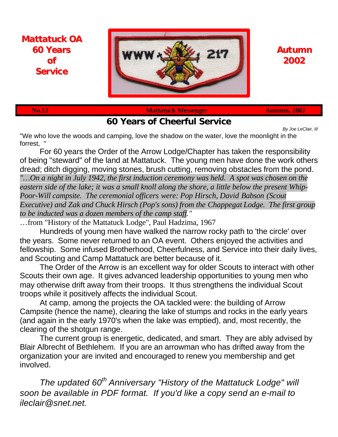

# **Autumn 2002**

**Mattatuck OA 60 Years of Service**

**No.12** Mattatuck Messenger Autumn, 2002

**60 Years of Cheerful Service**

*By Joe LeClair, III* "We who love the woods and camping, love the shadow on the water, love the moonlight in the forrest, "

For 60 years the Order of the Arrow Lodge/Chapter has taken the responsibility of being "steward" of the land at Mattatuck. The young men have done the work others dread; ditch digging, moving stones, brush cutting, removing obstacles from the pond. *"…On a night in July 1942, the first induction ceremony was held. A spot was chosen on the eastern side of the lake; it was a small knoll along the shore, a little below the present Whip-Poor-Will campsite. The ceremonial officers were: Pop Hirsch, David Babson (Scout Executive) and Zak and Chuck Hirsch (Pop's sons) from the Chappegat Lodge. The first group to be inducted was a dozen members of the camp staff."*

…from "History of the Mattatuck Lodge", Paul Hadzima, 1967

Hundreds of young men have walked the narrow rocky path to 'the circle' over the years. Some never returned to an OA event. Others enjoyed the activities and fellowship. Some infused Brotherhood, Cheerfulness, and Service into their daily lives, and Scouting and Camp Mattatuck are better because of it.

The Order of the Arrow is an excellent way for older Scouts to interact with other Scouts their own age. It gives advanced leadership opportunities to young men who may otherwise drift away from their troops. It thus strengthens the individual Scout troops while it positively affects the individual Scout.

At camp, among the projects the OA tackled were: the building of Arrow Campsite (hence the name), clearing the lake of stumps and rocks in the early years (and again in the early 1970's when the lake was emptied), and, most recently, the clearing of the shotgun range.

The current group is energetic, dedicated, and smart. They are ably advised by Blair Albrecht of Bethlehem. If you are an arrowman who has drifted away from the organization your are invited and encouraged to renew you membership and get involved.

*The updated 60th Anniversary "History of the Mattatuck Lodge" will soon be available in PDF format. If you'd like a copy send an e-mail to ileclair@snet.net.*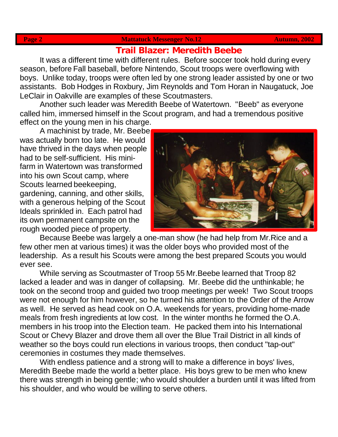### **Page 2 Mattatuck Messenger No.12 Mattatuck Messenger No.12 Autumn, 2002**

## **Trail Blazer: Meredith Beebe**

It was a different time with different rules. Before soccer took hold during every season, before Fall baseball, before Nintendo, Scout troops were overflowing with boys. Unlike today, troops were often led by one strong leader assisted by one or two assistants. Bob Hodges in Roxbury, Jim Reynolds and Tom Horan in Naugatuck, Joe LeClair in Oakville are examples of these Scoutmasters.

Another such leader was Meredith Beebe of Watertown. "Beeb" as everyone called him, immersed himself in the Scout program, and had a tremendous positive effect on the young men in his charge.

A machinist by trade, Mr. Beebe was actually born too late. He would have thrived in the days when people had to be self-sufficient. His minifarm in Watertown was transformed into his own Scout camp, where Scouts learned beekeeping, gardening, canning, and other skills, with a generous helping of the Scout Ideals sprinkled in. Each patrol had its own permanent campsite on the rough wooded piece of property.



Because Beebe was largely a one-man show (he had help from Mr.Rice and a few other men at various times) it was the older boys who provided most of the leadership. As a result his Scouts were among the best prepared Scouts you would ever see.

While serving as Scoutmaster of Troop 55 Mr.Beebe learned that Troop 82 lacked a leader and was in danger of collapsing. Mr. Beebe did the unthinkable; he took on the second troop and guided two troop meetings per week! Two Scout troops were not enough for him however, so he turned his attention to the Order of the Arrow as well. He served as head cook on O.A. weekends for years, providing home-made meals from fresh ingredients at low cost. In the winter months he formed the O.A. members in his troop into the Election team. He packed them into his International Scout or Chevy Blazer and drove them all over the Blue Trail District in all kinds of weather so the boys could run elections in various troops, then conduct "tap-out" ceremonies in costumes they made themselves.

With endless patience and a strong will to make a difference in boys' lives, Meredith Beebe made the world a better place. His boys grew to be men who knew there was strength in being gentle; who would shoulder a burden until it was lifted from his shoulder, and who would be willing to serve others.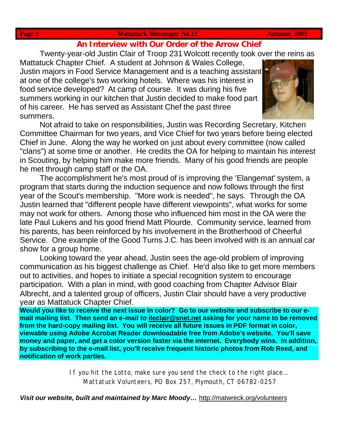### **Page 3** Mattatuck Messenger No.12 Autumn, 2002

## **An Interview with Our Order of the Arrow Chief**

Twenty-year-old Justin Clair of Troop 231 Wolcott recently took over the reins as

Mattatuck Chapter Chief. A student at Johnson & Wales College, Justin majors in Food Service Management and is a teaching assistant at one of the college's two working hotels. Where was his interest in food service developed? At camp of course. It was during his five summers working in our kitchen that Justin decided to make food part of his career. He has served as Assistant Chef the past three summers.



Not afraid to take on responsibilities, Justin was Recording Secretary, Kitchen Committee Chairman for two years, and Vice Chief for two years before being elected Chief in June. Along the way he worked on just about every committee (now called "clans") at some time or another. He credits the OA for helping to maintain his interest in Scouting, by helping him make more friends. Many of his good friends are people he met through camp staff or the OA.

The accomplishment he's most proud of is improving the 'Elangemat' system, a program that starts during the induction sequence and now follows through the first year of the Scout's membership. "More work is needed", he says. Through the OA Justin learned that "different people have different viewpoints", what works for some may not work for others. Among those who influenced him most in the OA were the late Paul Lukens and his good friend Matt Plourde. Community service, learned from his parents, has been reinforced by his involvement in the Brotherhood of Cheerful Service. One example of the Good Turns J.C. has been involved with is an annual car show for a group home.

Looking toward the year ahead, Justin sees the age-old problem of improving communication as his biggest challenge as Chief. He'd also like to get more members out to activities, and hopes to initiate a special recognition system to encourage participation. With a plan in mind, with good coaching from Chapter Advisor Blair Albrecht, and a talented group of officers, Justin Clair should have a very productive year as Mattatuck Chapter Chief.

**Would you like to receive the next issue in color? Go to our website and subscribe to our email mailing list. Then send an e-mail to ileclair@snet.net asking for your name to be removed from the hard-copy mailing list. You will receive all future issues in PDF format in color, viewable using Adobe Acrobat Reader downloadable free from Adobe's website. You'll save money and paper, and get a color version faster via the internet. Everybody wins. In addition, by subscribing to the e-mail list, you'll receive frequent historic photos from Rob Reed, and notification of work parties.**

> If you hit the Lotto, make sure you send the check to the right place… Mattatuck Volunteers, PO Box 257, Plymouth, CT 06782-0257

*Visit our website, built and maintained by Marc Moody…* http://matwreck.org/volunteers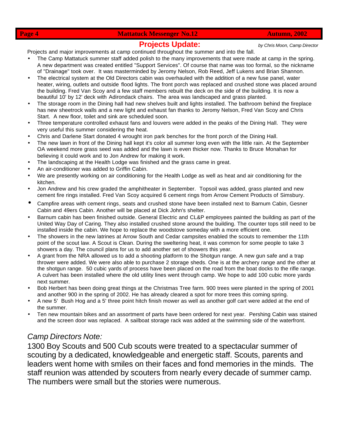**Page 4 Mattatuck Messenger No.12 Autumn, 2002** 

## **Projects Update:** *by Chris Moon, Camp Director*

Projects and major improvements at camp continued throughout the summer and into the fall.

- The Camp Mattatuck summer staff added polish to the many improvements that were made at camp in the spring. A new department was created entitled "Support Services". Of course that name was too formal, so the nickname of "Drainage" took over. It was masterminded by Jeromy Nelson, Rob Reed, Jeff Lukens and Brian Shannon.
- The electrical system at the Old Directors cabin was overhauled with the addition of a new fuse panel, water heater, wiring, outlets and outside flood lights. The front porch was replaced and crushed stone was placed around the building. Fred Van Scoy and a few staff members rebuilt the deck on the side of the building. It is now a beautiful 10' by 12' deck with Adirondack chairs. The area was landscaped and grass planted.
- The storage room in the Dining hall had new shelves built and lights installed. The bathroom behind the fireplace has new sheetrock walls and a new light and exhaust fan thanks to Jeromy Nelson, Fred Van Scoy and Chris Start. A new floor, toilet and sink are scheduled soon.
- Three temperature controlled exhaust fans and louvers were added in the peaks of the Dining Hall. They were very useful this summer considering the heat.
- Chris and Darlene Start donated 4 wrought iron park benches for the front porch of the Dining Hall.
- The new lawn in front of the Dining hall kept it's color all summer long even with the little rain. At the September OA weekend more grass seed was added and the lawn is even thicker now. Thanks to Bruce Monahan for believing it could work and to Jon Andrew for making it work.
- The landscaping at the Health Lodge was finished and the grass came in great.
- An air-conditioner was added to Griffin Cabin.
- We are presently working on air conditioning for the Health Lodge as well as heat and air conditioning for the kitchen.
- Jon Andrew and his crew graded the amphitheater in September. Topsoil was added, grass planted and new cement fire rings installed. Fred Van Scoy acquired 6 cement rings from Arrow Cement Products of Simsbury.
- Campfire areas with cement rings, seats and crushed stone have been installed next to Barnum Cabin, Gesner Cabin and 49ers Cabin. Another will be placed at Dick John's shelter.
- Barnum cabin has been finished outside. General Electric and CL&P employees painted the building as part of the United Way Day of Caring. They also installed crushed stone around the building. The counter tops still need to be installed inside the cabin. We hope to replace the woodstove someday with a more efficient one.
- The showers in the new latrines at Arrow South and Cedar campsites enabled the scouts to remember the 11th point of the scout law. A Scout is Clean. During the sweltering heat, it was common for some people to take 3 showers a day. The council plans for us to add another set of showers this year.
- A grant from the NRA allowed us to add a shooting platform to the Shotgun range. A new gun safe and a trap thrower were added. We were also able to purchase 2 storage sheds. One is at the archery range and the other at the shotgun range. 50 cubic yards of process have been placed on the road from the boat docks to the rifle range. A culvert has been installed where the old utility lines went through camp. We hope to add 100 cubic more yards next summer.
- Bob Herbert has been doing great things at the Christmas Tree farm. 900 trees were planted in the spring of 2001 and another 900 in the spring of 2002. He has already cleared a spot for more trees this coming spring.
- A new 5' Bush Hog and a 5' three point hitch finish mower as well as another golf cart were added at the end of the summer.
- Ten new mountain bikes and an assortment of parts have been ordered for next year. Pershing Cabin was stained and the screen door was replaced. A sailboat storage rack was added at the swimming side of the waterfront.

## *Camp Directors Note:*

1300 Boy Scouts and 500 Cub scouts were treated to a spectacular summer of scouting by a dedicated, knowledgeable and energetic staff. Scouts, parents and leaders went home with smiles on their faces and fond memories in the minds. The staff reunion was attended by scouters from nearly every decade of summer camp. The numbers were small but the stories were numerous.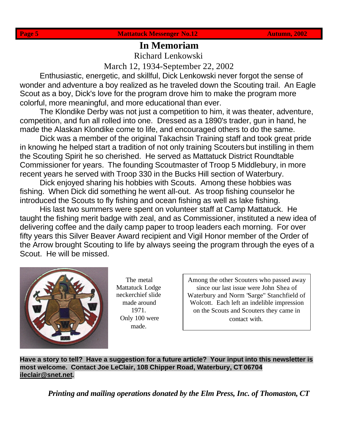# **In Memoriam**

Richard Lenkowski

March 12, 1934-September 22, 2002

Enthusiastic, energetic, and skillful, Dick Lenkowski never forgot the sense of wonder and adventure a boy realized as he traveled down the Scouting trail. An Eagle Scout as a boy, Dick's love for the program drove him to make the program more colorful, more meaningful, and more educational than ever.

The Klondike Derby was not just a competition to him, it was theater, adventure, competition, and fun all rolled into one. Dressed as a 1890's trader, gun in hand, he made the Alaskan Klondike come to life, and encouraged others to do the same.

Dick was a member of the original Takachsin Training staff and took great pride in knowing he helped start a tradition of not only training Scouters but instilling in them the Scouting Spirit he so cherished. He served as Mattatuck District Roundtable Commissioner for years. The founding Scoutmaster of Troop 5 Middlebury, in more recent years he served with Troop 330 in the Bucks Hill section of Waterbury.

Dick enjoyed sharing his hobbies with Scouts. Among these hobbies was fishing. When Dick did something he went all-out. As troop fishing counselor he introduced the Scouts to fly fishing and ocean fishing as well as lake fishing.

His last two summers were spent on volunteer staff at Camp Mattatuck. He taught the fishing merit badge with zeal, and as Commissioner, instituted a new idea of delivering coffee and the daily camp paper to troop leaders each morning. For over fifty years this Silver Beaver Award recipient and Vigil Honor member of the Order of the Arrow brought Scouting to life by always seeing the program through the eyes of a Scout. He will be missed.



The metal Mattatuck Lodge neckerchief slide made around 1971. Only 100 were made.

Among the other Scouters who passed away since our last issue were John Shea of Waterbury and Norm "Sarge" Stanchfield of Wolcott. Each left an indelible impression on the Scouts and Scouters they came in contact with.

**Have a story to tell? Have a suggestion for a future article? Your input into this newsletter is most welcome. Contact Joe LeClair, 108 Chipper Road, Waterbury, CT 06704 ileclair@snet.net***.*

*Printing and mailing operations donated by the Elm Press, Inc. of Thomaston, CT*